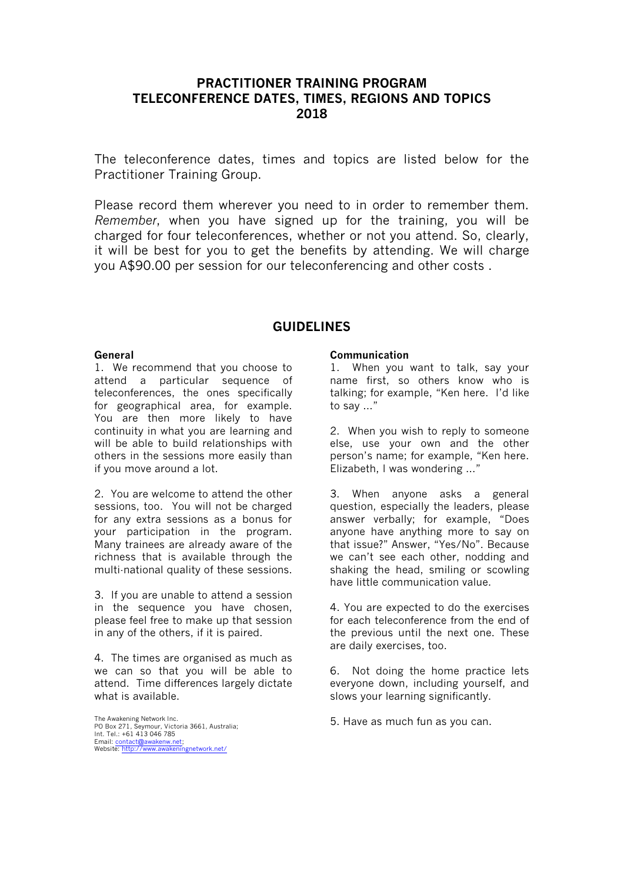## **PRACTITIONER TRAINING PROGRAM TELECONFERENCE DATES, TIMES, REGIONS AND TOPICS 2018**

The teleconference dates, times and topics are listed below for the Practitioner Training Group.

Please record them wherever you need to in order to remember them. *Remember*, when you have signed up for the training, you will be charged for four teleconferences, whether or not you attend. So, clearly, it will be best for you to get the benefits by attending. We will charge you A\$90.00 per session for our teleconferencing and other costs .

## **GUIDELINES**

#### **General**

1. We recommend that you choose to attend a particular sequence of teleconferences, the ones specifically for geographical area, for example. You are then more likely to have continuity in what you are learning and will be able to build relationships with others in the sessions more easily than if you move around a lot.

2. You are welcome to attend the other sessions, too. You will not be charged for any extra sessions as a bonus for your participation in the program. Many trainees are already aware of the richness that is available through the multi-national quality of these sessions.

3. If you are unable to attend a session in the sequence you have chosen, please feel free to make up that session in any of the others, if it is paired.

4. The times are organised as much as we can so that you will be able to attend. Time differences largely dictate what is available.

The Awakening Network Inc. PO Box 271, Seymour, Victoria 3661, Australia; Int. Tel.: +61 413 046 785 Email: <u>[contact@awakenw.net](mailto:biamenet@eck.net.au);</u><br>Website: [http://www.awakeningnetwork.net/](http://www.biamenetwork.net/)

#### **Communication**

1. When you want to talk, say your name first, so others know who is talking; for example, "Ken here. I'd like to say …"

2. When you wish to reply to someone else, use your own and the other person's name; for example, "Ken here. Elizabeth, I was wondering …"

3. When anyone asks a general question, especially the leaders, please answer verbally; for example, "Does anyone have anything more to say on that issue?" Answer, "Yes/No". Because we can't see each other, nodding and shaking the head, smiling or scowling have little communication value.

4. You are expected to do the exercises for each teleconference from the end of the previous until the next one. These are daily exercises, too.

6. Not doing the home practice lets everyone down, including yourself, and slows your learning significantly.

5. Have as much fun as you can.